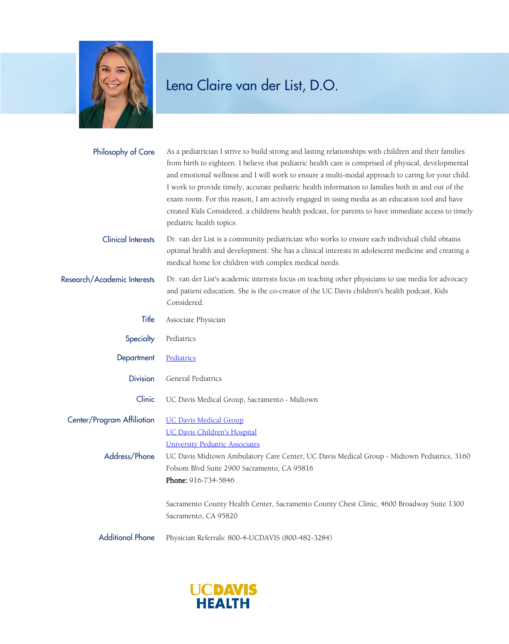

## Lena Claire van der List, D.O.

| Philosophy of Care                          | As a pediatrician I strive to build strong and lasting relationships with children and their families<br>from birth to eighteen. I believe that pediatric health care is comprised of physical, developmental<br>and emotional wellness and I will work to ensure a multi-modal approach to caring for your child.<br>I work to provide timely, accurate pediatric health information to families both in and out of the<br>exam room. For this reason, I am actively engaged in using media as an education tool and have<br>created Kids Considered, a childrens health podcast, for parents to have immediate access to timely<br>pediatric health topics. |
|---------------------------------------------|---------------------------------------------------------------------------------------------------------------------------------------------------------------------------------------------------------------------------------------------------------------------------------------------------------------------------------------------------------------------------------------------------------------------------------------------------------------------------------------------------------------------------------------------------------------------------------------------------------------------------------------------------------------|
| <b>Clinical Interests</b>                   | Dr. van der List is a community pediatrician who works to ensure each individual child obtains<br>optimal health and development. She has a clinical interests in adolescent medicine and creating a<br>medical home for children with complex medical needs.                                                                                                                                                                                                                                                                                                                                                                                                 |
| Research/Academic Interests                 | Dr. van der List's academic interests focus on teaching other physicians to use media for advocacy<br>and patient education. She is the co-creator of the UC Davis children's health podcast, Kids<br>Considered.                                                                                                                                                                                                                                                                                                                                                                                                                                             |
| Title                                       | Associate Physician                                                                                                                                                                                                                                                                                                                                                                                                                                                                                                                                                                                                                                           |
| Specialty                                   | Pediatrics                                                                                                                                                                                                                                                                                                                                                                                                                                                                                                                                                                                                                                                    |
| Department                                  | Pediatrics                                                                                                                                                                                                                                                                                                                                                                                                                                                                                                                                                                                                                                                    |
| <b>Division</b>                             | General Pediatrics                                                                                                                                                                                                                                                                                                                                                                                                                                                                                                                                                                                                                                            |
| Clinic                                      | UC Davis Medical Group, Sacramento - Midtown                                                                                                                                                                                                                                                                                                                                                                                                                                                                                                                                                                                                                  |
| Center/Program Affiliation<br>Address/Phone | <b>UC Davis Medical Group</b><br><b>UC Davis Children's Hospital</b><br><b>University Pediatric Associates</b><br>UC Davis Midtown Ambulatory Care Center, UC Davis Medical Group - Midtown Pediatrics, 3160<br>Folsom Blvd Suite 2900 Sacramento, CA 95816<br>Phone: 916-734-5846<br>Sacramento County Health Center, Sacramento County Chest Clinic, 4600 Broadway Suite 1300<br>Sacramento, CA 95820                                                                                                                                                                                                                                                       |
| <b>Additional Phone</b>                     | Physician Referrals: 800-4-UCDAVIS (800-482-3284)                                                                                                                                                                                                                                                                                                                                                                                                                                                                                                                                                                                                             |